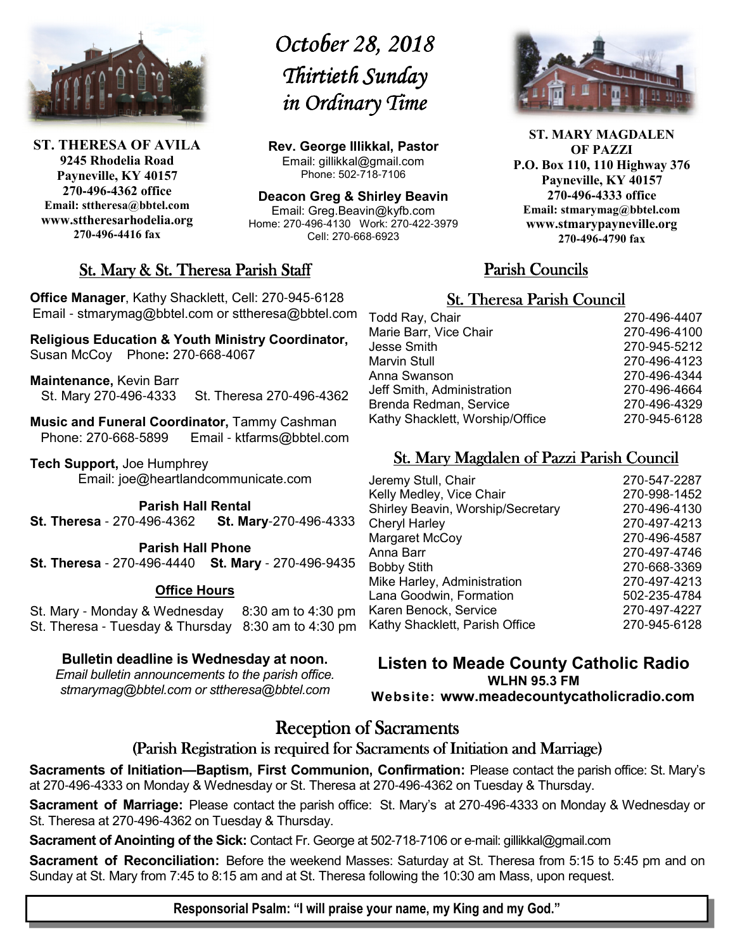

**ST. THERESA OF AVILA 9245 Rhodelia Road Payneville, KY 40157 270-496-4362 office Email: sttheresa@bbtel.com www.sttheresarhodelia.org 270-496-4416 fax**

# *October 28, 2018 October Thirtieth Sunday in Ordinary Time*

**Rev. George Illikkal, Pastor** Email: gillikkal@gmail.com Phone: 502-718-7106

**Deacon Greg & Shirley Beavin** Email: Greg.Beavin@kyfb.com Home: 270-496-4130 Work: 270-422-3979 Cell: 270-668-6923

# St. Mary & St. Theresa Parish Staff

**Office Manager**, Kathy Shacklett, Cell: 270-945-6128 Email - stmarymag@bbtel.com or sttheresa@bbtel.com

**Religious Education & Youth Ministry Coordinator,**  Susan McCoy Phone**:** 270-668-4067

**Maintenance,** Kevin Barr St. Mary 270-496-4333 St. Theresa 270-496-4362

**Music and Funeral Coordinator,** Tammy Cashman Phone: 270-668-5899 Email - ktfarms@bbtel.com

**Tech Support,** Joe Humphrey Email: joe@heartlandcommunicate.com

**Parish Hall Rental** 

**St. Theresa** - 270-496-4362 **St. Mary**-270-496-4333

**Parish Hall Phone St. Theresa** - 270-496-4440 **St. Mary** - 270-496-9435

#### **Office Hours**

St. Mary - Monday & Wednesday 8:30 am to 4:30 pm St. Theresa - Tuesday & Thursday 8:30 am to 4:30 pm

#### **Bulletin deadline is Wednesday at noon.**

*Email bulletin announcements to the parish office. stmarymag@bbtel.com or sttheresa@bbtel.com*



**ST. MARY MAGDALEN OF PAZZI P.O. Box 110, 110 Highway 376 Payneville, KY 40157 270-496-4333 office Email: stmarymag@bbtel.com www.stmarypayneville.org 270-496-4790 fax**

# Parish Councils Parish Councils

### **St. Theresa Parish Council**

| Todd Ray, Chair                 | 270-496-4407 |
|---------------------------------|--------------|
| Marie Barr, Vice Chair          | 270-496-4100 |
| Jesse Smith                     | 270-945-5212 |
| Marvin Stull                    | 270-496-4123 |
| Anna Swanson                    | 270-496-4344 |
| Jeff Smith, Administration      | 270-496-4664 |
| Brenda Redman, Service          | 270-496-4329 |
| Kathy Shacklett, Worship/Office | 270-945-6128 |
|                                 |              |

# St. Mary Magdalen of Pazzi Parish Council

| Jeremy Stull, Chair               | 270-547-2287 |
|-----------------------------------|--------------|
| Kelly Medley, Vice Chair          | 270-998-1452 |
| Shirley Beavin, Worship/Secretary | 270-496-4130 |
| <b>Cheryl Harley</b>              | 270-497-4213 |
| Margaret McCoy                    | 270-496-4587 |
| Anna Barr                         | 270-497-4746 |
| <b>Bobby Stith</b>                | 270-668-3369 |
| Mike Harley, Administration       | 270-497-4213 |
| Lana Goodwin, Formation           | 502-235-4784 |
| Karen Benock, Service             | 270-497-4227 |
| Kathy Shacklett, Parish Office    | 270-945-6128 |
|                                   |              |

**Listen to Meade County Catholic Radio WLHN 95.3 FM Website: www.meadecountycatholicradio.com**

# **Reception of Sacraments**

### (Parish Registration is required for Sacraments of Initiation and Marriage)

**Sacraments of Initiation—Baptism, First Communion, Confirmation:** Please contact the parish office: St. Mary's at 270-496-4333 on Monday & Wednesday or St. Theresa at 270-496-4362 on Tuesday & Thursday.

**Sacrament of Marriage:** Please contact the parish office: St. Mary's at 270-496-4333 on Monday & Wednesday or St. Theresa at 270-496-4362 on Tuesday & Thursday.

**Sacrament of Anointing of the Sick:** Contact Fr. George at 502-718-7106 or e-mail: gillikkal@gmail.com

**Sacrament of Reconciliation:** Before the weekend Masses: Saturday at St. Theresa from 5:15 to 5:45 pm and on Sunday at St. Mary from 7:45 to 8:15 am and at St. Theresa following the 10:30 am Mass, upon request.

**Responsorial Psalm: "I will praise your name, my King and my God."**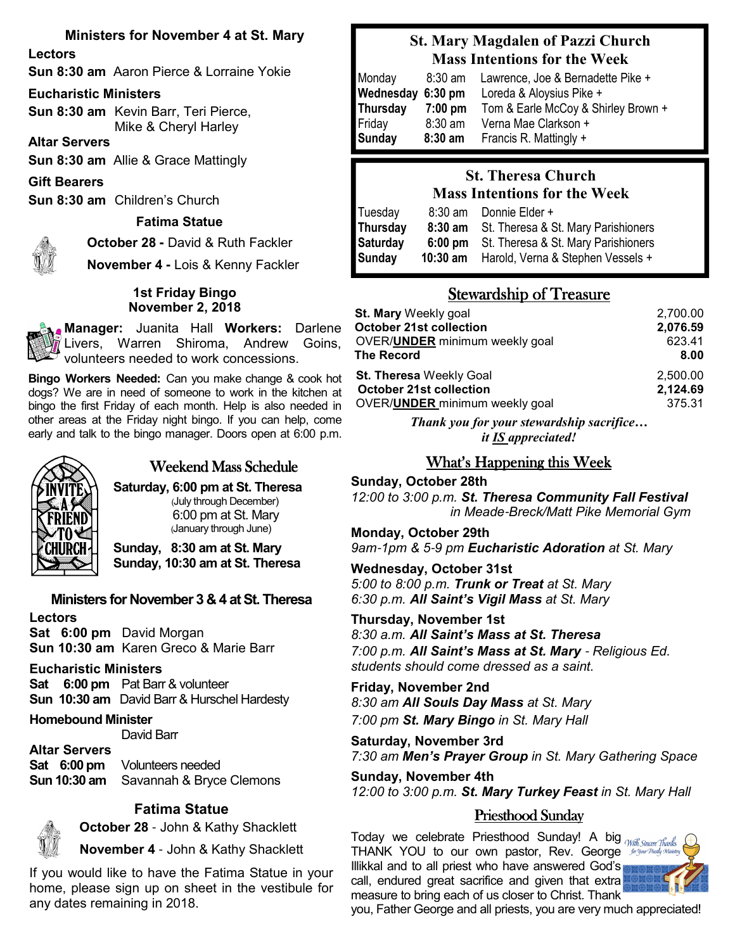### **Ministers for November 4 at St. Mary**

**Lectors**

**Sun 8:30 am** Aaron Pierce & Lorraine Yokie

#### **Eucharistic Ministers**

**Sun 8:30 am** Kevin Barr, Teri Pierce, Mike & Cheryl Harley

**Altar Servers**

**Sun 8:30 am** Allie & Grace Mattingly

**Gift Bearers**

**Sun 8:30 am** Children's Church

#### **Fatima Statue**

**October 28 -** David & Ruth Fackler

**November 4 -** Lois & Kenny Fackler

#### **1st Friday Bingo November 2, 2018**

**Manager:** Juanita Hall **Workers:** Darlene Livers, Warren Shiroma, Andrew Goins, volunteers needed to work concessions.

**Bingo Workers Needed:** Can you make change & cook hot dogs? We are in need of someone to work in the kitchen at bingo the first Friday of each month. Help is also needed in other areas at the Friday night bingo. If you can help, come early and talk to the bingo manager. Doors open at 6:00 p.m.



### Weekend Mass Schedule

**Saturday, 6:00 pm at St. Theresa** (July through December) 6:00 pm at St. Mary (January through June)

**Sunday, 8:30 am at St. Mary Sunday, 10:30 am at St. Theresa**

#### **Ministers for November 3 & 4 at St. Theresa**

**Lectors Sat 6:00 pm** David Morgan **Sun 10:30 am** Karen Greco & Marie Barr

#### **Eucharistic Ministers**

**Sat 6:00 pm** Pat Barr & volunteer **Sun 10:30 am** David Barr & Hurschel Hardesty

**Homebound Minister**

David Barr

**Altar Servers Sat 6:00 pm** Volunteers needed **Sun 10:30 am** Savannah & Bryce Clemons

#### **Fatima Statue**



**October 28** - John & Kathy Shacklett

**November 4** - John & Kathy Shacklett

If you would like to have the Fatima Statue in your home, please sign up on sheet in the vestibule for any dates remaining in 2018.

# **St. Mary Magdalen of Pazzi Church Mass Intentions for the Week**

| Monday<br>Wednesday 6:30 pm | $8:30$ am | Lawrence, Joe & Bernadette Pike +<br>Loreda & Aloysius Pike + |
|-----------------------------|-----------|---------------------------------------------------------------|
| Thursday                    | $7:00$ pm | Tom & Earle McCoy & Shirley Brown +                           |
| Friday                      | $8:30$ am | Verna Mae Clarkson +                                          |
| <b>Sunday</b>               | $8:30$ am | Francis R. Mattingly +                                        |

# **St. Theresa Church Mass Intentions for the Week**

| Tuesday  | 8:30 am           | Donnie Elder +                      |
|----------|-------------------|-------------------------------------|
| Thursday | $8:30$ am         | St. Theresa & St. Mary Parishioners |
| Saturday | $6:00 \text{ pm}$ | St. Theresa & St. Mary Parishioners |
| Sunday   | $10:30$ am        | Harold, Verna & Stephen Vessels +   |

# Stewardship of Treasure

| St. Mary Weekly goal                   | 2,700.00 |
|----------------------------------------|----------|
| <b>October 21st collection</b>         | 2,076.59 |
| OVER/ <b>UNDER</b> minimum weekly goal | 623.41   |
| The Record                             | 8.00     |
| <b>St. Theresa Weekly Goal</b>         | 2,500.00 |
| <b>October 21st collection</b>         | 2,124.69 |
| OVER/ <b>UNDER</b> minimum weekly goal | 375.31   |
|                                        |          |

*Thank you for your stewardship sacrifice… it IS appreciated!*

# What's Happening this Week

**Sunday, October 28th** *12:00 to 3:00 p.m. St. Theresa Community Fall Festival in Meade*-*Breck/Matt Pike Memorial Gym*

#### **Monday, October 29th**

*9am*-*1pm & 5*-*9 pm Eucharistic Adoration at St. Mary*

**Wednesday, October 31st** *5:00 to 8:00 p.m. Trunk or Treat at St. Mary 6:30 p.m. All Saint's Vigil Mass at St. Mary*

**Thursday, November 1st** *8:30 a.m. All Saint's Mass at St. Theresa 7:00 p.m. All Saint's Mass at St. Mary* - *Religious Ed. students should come dressed as a saint.* 

**Friday, November 2nd** *8:30 am All Souls Day Mass at St. Mary 7:00 pm St. Mary Bingo in St. Mary Hall* 

**Saturday, November 3rd** *7:30 am Men's Prayer Group in St. Mary Gathering Space*

**Sunday, November 4th** *12:00 to 3:00 p.m. St. Mary Turkey Feast in St. Mary Hall* 

# Priesthood Sunday

 Today we celebrate Priesthood Sunday! A big THANK YOU to our own pastor, Rev. George *for your Phicky Ministry* Illikkal and to all priest who have answered God's call, endured great sacrifice and given that extra measure to bring each of us closer to Christ. Thank



you, Father George and all priests, you are very much appreciated!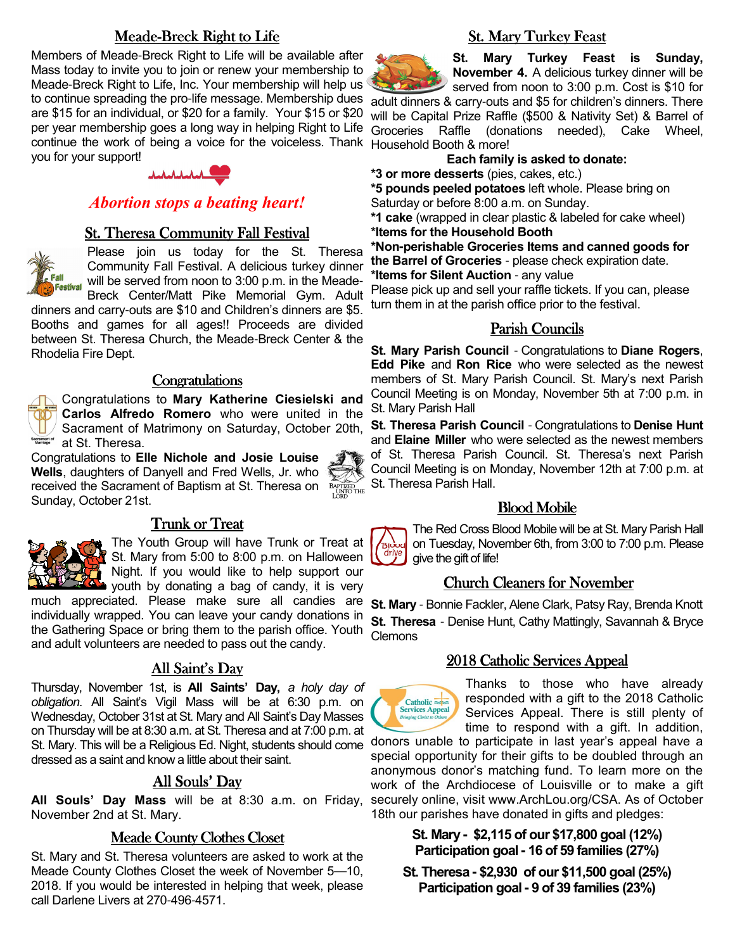# Meade-Breck Right to Life

Members of Meade-Breck Right to Life will be available after Mass today to invite you to join or renew your membership to Meade-Breck Right to Life, Inc. Your membership will help us are \$15 for an individual, or \$20 for a family. Your \$15 or \$20 continue the work of being a voice for the voiceless. Thank Household Booth & more! you for your support!



# *Abortion stops a beating heart!*

#### **St. Theresa Community Fall Festival**

<u>...</u><br>Festival

Please join us today for the St. Theresa Community Fall Festival. A delicious turkey dinner will be served from noon to 3:00 p.m. in the Meade-Breck Center/Matt Pike Memorial Gym. Adult

dinners and carry-outs are \$10 and Children's dinners are \$5. Booths and games for all ages!! Proceeds are divided between St. Theresa Church, the Meade-Breck Center & the Rhodelia Fire Dept.

#### **Congratulations**

Congratulations to **Mary Katherine Ciesielski and Carlos Alfredo Romero** who were united in the Sacrament of Matrimony on Saturday, October 20th, Sacrament of at St. Theresa.

Congratulations to **Elle Nichole and Josie Louise Wells**, daughters of Danyell and Fred Wells, Jr. who received the Sacrament of Baptism at St. Theresa on Sunday, October 21st.



#### Trunk or Treat



The Youth Group will have Trunk or Treat at St. Mary from 5:00 to 8:00 p.m. on Halloween Night. If you would like to help support our youth by donating a bag of candy, it is very

much appreciated. Please make sure all candies are individually wrapped. You can leave your candy donations in the Gathering Space or bring them to the parish office. Youth and adult volunteers are needed to pass out the candy.

# All Saint's Day

Thursday, November 1st, is **All Saints' Day,** *a holy day of obligation*. All Saint's Vigil Mass will be at 6:30 p.m. on Wednesday, October 31st at St. Mary and All Saint's Day Masses on Thursday will be at 8:30 a.m. at St. Theresa and at 7:00 p.m. at St. Mary. This will be a Religious Ed. Night, students should come dressed as a saint and know a little about their saint.

# All Souls' Day

**All Souls' Day Mass** will be at 8:30 a.m. on Friday, November 2nd at St. Mary.

#### Meade County Clothes Closet

St. Mary and St. Theresa volunteers are asked to work at the Meade County Clothes Closet the week of November 5—10, 2018. If you would be interested in helping that week, please call Darlene Livers at 270-496-4571.

# **St. Mary Turkey Feast**



**St. Mary Turkey Feast is Sunday, November 4.** A delicious turkey dinner will be

to continue spreading the pro-life message. Membership dues adult dinners & carry-outs and \$5 for children's dinners. There per year membership goes a long way in helping Right to Life Groceries Raffle (donations needed), Cake Wheel, served from noon to 3:00 p.m. Cost is \$10 for will be Capital Prize Raffle (\$500 & Nativity Set) & Barrel of

**Each family is asked to donate:**

**\*3 or more desserts** (pies, cakes, etc.)

**\*5 pounds peeled potatoes** left whole. Please bring on Saturday or before 8:00 a.m. on Sunday.

**\*1 cake** (wrapped in clear plastic & labeled for cake wheel) **\*Items for the Household Booth** 

**\*Non-perishable Groceries Items and canned goods for the Barrel of Groceries** - please check expiration date. **\*Items for Silent Auction** - any value

Please pick up and sell your raffle tickets. If you can, please turn them in at the parish office prior to the festival.

### Parish Councils

**St. Mary Parish Council** - Congratulations to **Diane Rogers**, **Edd Pike** and **Ron Rice** who were selected as the newest members of St. Mary Parish Council. St. Mary's next Parish Council Meeting is on Monday, November 5th at 7:00 p.m. in St. Mary Parish Hall

**St. Theresa Parish Council** - Congratulations to **Denise Hunt**  and **Elaine Miller** who were selected as the newest members of St. Theresa Parish Council. St. Theresa's next Parish Council Meeting is on Monday, November 12th at 7:00 p.m. at St. Theresa Parish Hall.

#### **Blood Mobile**

The Red Cross Blood Mobile will be at St. Mary Parish Hall on Tuesday, November 6th, from 3:00 to 7:00 p.m. Please give the gift of life!

# Church Cleaners for November

**St. Mary** - Bonnie Fackler, Alene Clark, Patsy Ray, Brenda Knott **St. Theresa** - Denise Hunt, Cathy Mattingly, Savannah & Bryce **Clemons** 

#### 2018 Catholic Services Appeal



Thanks to those who have already responded with a gift to the 2018 Catholic Services Appeal. There is still plenty of time to respond with a gift. In addition,

donors unable to participate in last year's appeal have a special opportunity for their gifts to be doubled through an anonymous donor's matching fund. To learn more on the work of the Archdiocese of Louisville or to make a gift securely online, visit www.ArchLou.org/CSA. As of October 18th our parishes have donated in gifts and pledges:

> **St. Mary - \$2,115 of our \$17,800 goal (12%) Participation goal - 16 of 59 families (27%)**

**St. Theresa - \$2,930 of our \$11,500 goal (25%) Participation goal - 9 of 39 families (23%)**